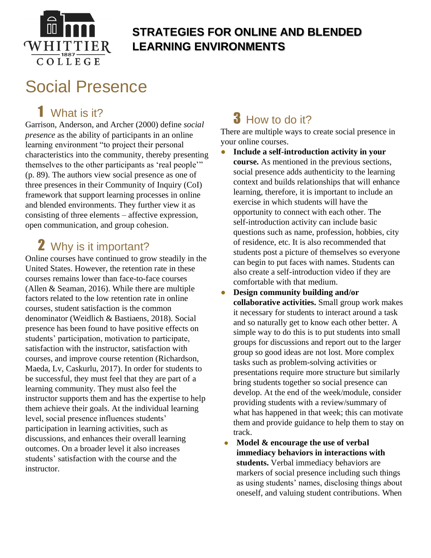

#### **STRATEGIES FOR ONLINE AND BLENDED LEARNING ENVIRONMENTS**

# Social Presence

## 1 What is it?

Garrison, Anderson, and Archer (2000) define *social presence* as the ability of participants in an online learning environment "to project their personal characteristics into the community, thereby presenting themselves to the other participants as 'real people'" (p. 89). The authors view social presence as one of three presences in their Community of Inquiry (CoI) framework that support learning processes in online and blended environments. They further view it as consisting of three elements – affective expression, open communication, and group cohesion.

### 2 Why is it important?

Online courses have continued to grow steadily in the United States. However, the retention rate in these courses remains lower than face-to-face courses (Allen & Seaman, 2016). While there are multiple factors related to the low retention rate in online courses, student satisfaction is the common denominator (Weidlich & Bastiaens, 2018). Social presence has been found to have positive effects on students' participation, motivation to participate, satisfaction with the instructor, satisfaction with courses, and improve course retention (Richardson, Maeda, Lv, Caskurlu, 2017). In order for students to be successful, they must feel that they are part of a learning community. They must also feel the instructor supports them and has the expertise to help them achieve their goals. At the individual learning level, social presence influences students' participation in learning activities, such as discussions, and enhances their overall learning outcomes. On a broader level it also increases students' satisfaction with the course and the instructor.

# **3** How to do it?

There are multiple ways to create social presence in your online courses.

- **Include a self-introduction activity in your course.** As mentioned in the previous sections, social presence adds authenticity to the learning context and builds relationships that will enhance learning, therefore, it is important to include an exercise in which students will have the opportunity to connect with each other. The self-introduction activity can include basic questions such as name, profession, hobbies, city of residence, etc. It is also recommended that students post a picture of themselves so everyone can begin to put faces with names. Students can also create a self-introduction video if they are comfortable with that medium.
- **Design community building and/or collaborative activities.** Small group work makes it necessary for students to interact around a task and so naturally get to know each other better. A simple way to do this is to put students into small groups for discussions and report out to the larger group so good ideas are not lost. More complex tasks such as problem-solving activities or presentations require more structure but similarly bring students together so social presence can develop. At the end of the week/module, consider providing students with a review/summary of what has happened in that week; this can motivate them and provide guidance to help them to stay on track.
- **Model & encourage the use of verbal immediacy behaviors in interactions with students.** Verbal immediacy behaviors are markers of social presence including such things as using students' names, disclosing things about oneself, and valuing student contributions. When